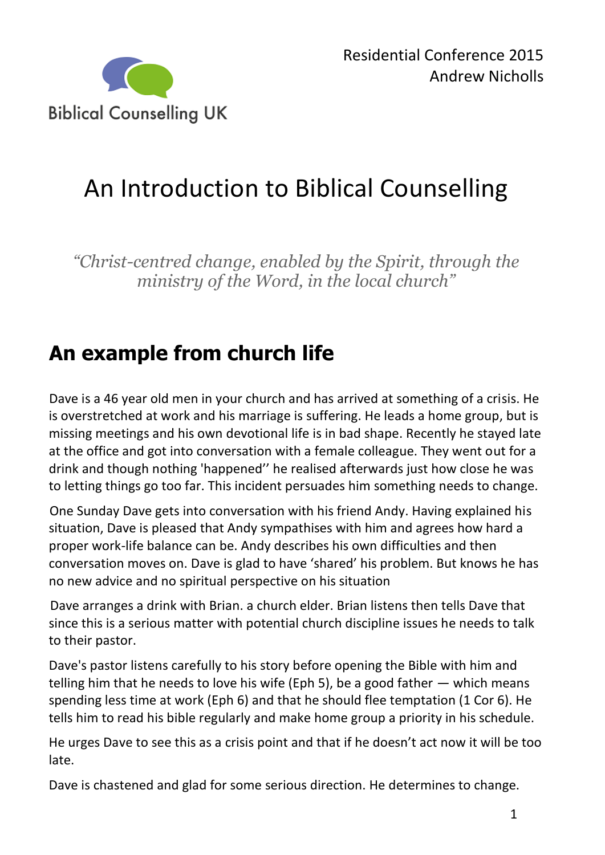

# An Introduction to Biblical Counselling

*"Christ-centred change, enabled by the Spirit, through the ministry of the Word, in the local church"*

## **An example from church life**

Dave is a 46 year old men in your church and has arrived at something of a crisis. He is overstretched at work and his marriage is suffering. He leads a home group, but is missing meetings and his own devotional life is in bad shape. Recently he stayed late at the office and got into conversation with a female colleague. They went out for a drink and though nothing 'happened'' he realised afterwards just how close he was to letting things go too far. This incident persuades him something needs to change.

One Sunday Dave gets into conversation with his friend Andy. Having explained his situation, Dave is pleased that Andy sympathises with him and agrees how hard a proper work-life balance can be. Andy describes his own difficulties and then conversation moves on. Dave is glad to have 'shared' his problem. But knows he has no new advice and no spiritual perspective on his situation

Dave arranges a drink with Brian. a church elder. Brian listens then tells Dave that since this is a serious matter with potential church discipline issues he needs to talk to their pastor.

Dave's pastor listens carefully to his story before opening the Bible with him and telling him that he needs to love his wife (Eph 5), be a good father  $-$  which means spending less time at work (Eph 6) and that he should flee temptation (1 Cor 6). He tells him to read his bible regularly and make home group a priority in his schedule.

He urges Dave to see this as a crisis point and that if he doesn't act now it will be too late.

Dave is chastened and glad for some serious direction. He determines to change.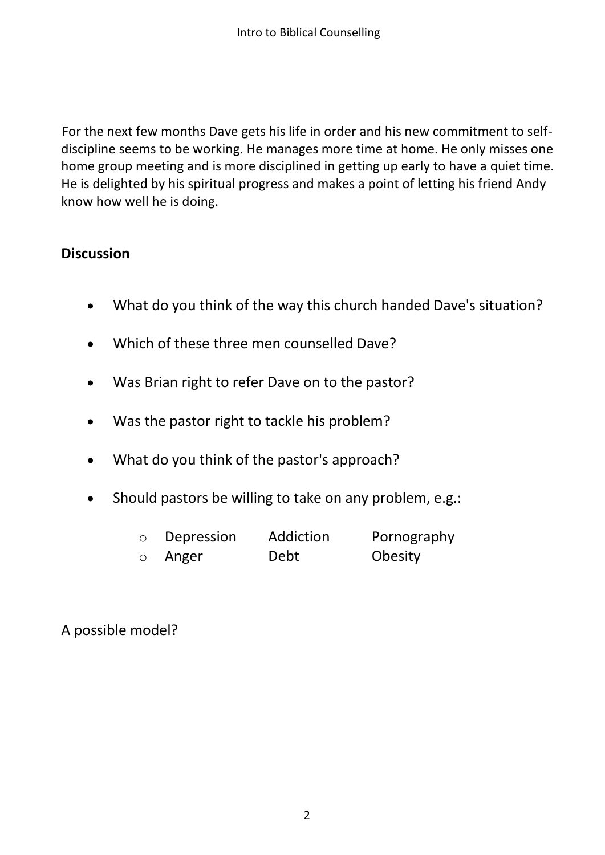For the next few months Dave gets his life in order and his new commitment to selfdiscipline seems to be working. He manages more time at home. He only misses one home group meeting and is more disciplined in getting up early to have a quiet time. He is delighted by his spiritual progress and makes a point of letting his friend Andy know how well he is doing.

#### **Discussion**

- What do you think of the way this church handed Dave's situation?
- Which of these three men counselled Dave?
- Was Brian right to refer Dave on to the pastor?
- Was the pastor right to tackle his problem?
- What do you think of the pastor's approach?
- Should pastors be willing to take on any problem, e.g.:
	- o Depression Addiction Pornography o Anger Debt Obesity
	-

A possible model?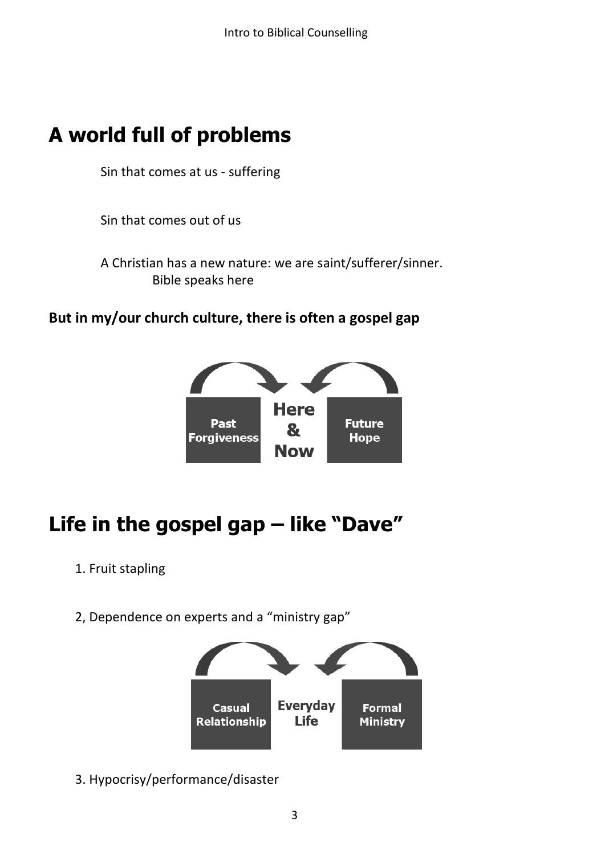### **A world full of problems**

Sin that comes at us - suffering

Sin that comes out of us

A Christian has a new nature: we are saint/sufferer/sinner. Bible speaks here

#### **But in my/our church culture, there is often a gospel gap**



## **Life in the gospel gap – like "Dave"**

- 1. Fruit stapling
- 2, Dependence on experts and a "ministry gap"



3. Hypocrisy/performance/disaster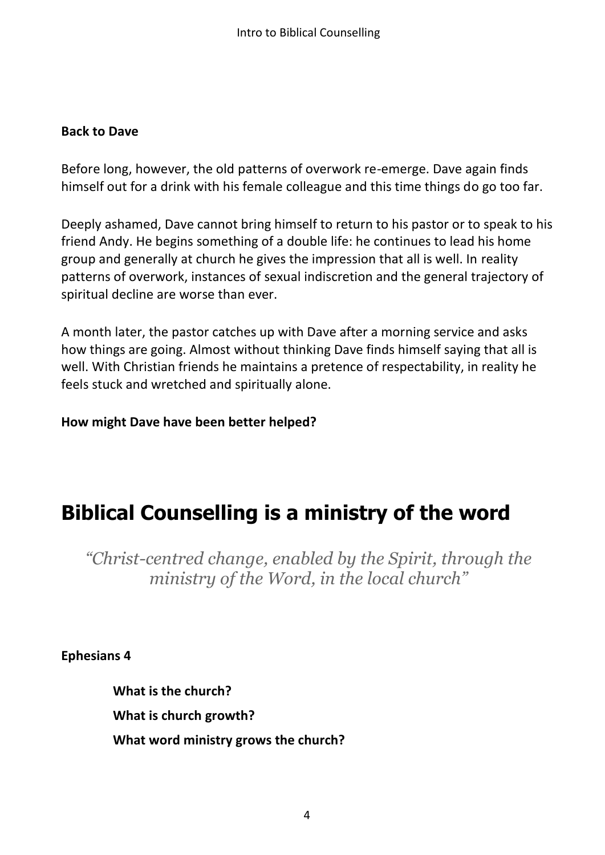#### **Back to Dave**

Before long, however, the old patterns of overwork re-emerge. Dave again finds himself out for a drink with his female colleague and this time things do go too far.

Deeply ashamed, Dave cannot bring himself to return to his pastor or to speak to his friend Andy. He begins something of a double life: he continues to lead his home group and generally at church he gives the impression that all is well. In reality patterns of overwork, instances of sexual indiscretion and the general trajectory of spiritual decline are worse than ever.

A month later, the pastor catches up with Dave after a morning service and asks how things are going. Almost without thinking Dave finds himself saying that all is well. With Christian friends he maintains a pretence of respectability, in reality he feels stuck and wretched and spiritually alone.

**How might Dave have been better helped?**

### **Biblical Counselling is a ministry of the word**

*"Christ-centred change, enabled by the Spirit, through the ministry of the Word, in the local church"*

**Ephesians 4**

**What is the church? What is church growth? What word ministry grows the church?**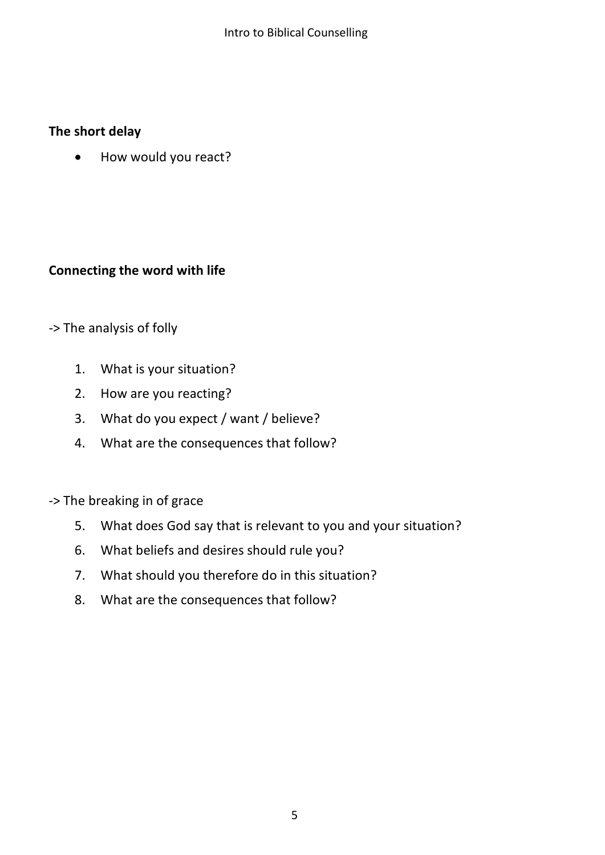#### **The short delay**

How would you react?

#### **Connecting the word with life**

#### -> The analysis of folly

- 1. What is your situation?
- 2. How are you reacting?
- 3. What do you expect / want / believe?
- 4. What are the consequences that follow?

-> The breaking in of grace

- 5. What does God say that is relevant to you and your situation?
- 6. What beliefs and desires should rule you?
- 7. What should you therefore do in this situation?
- 8. What are the consequences that follow?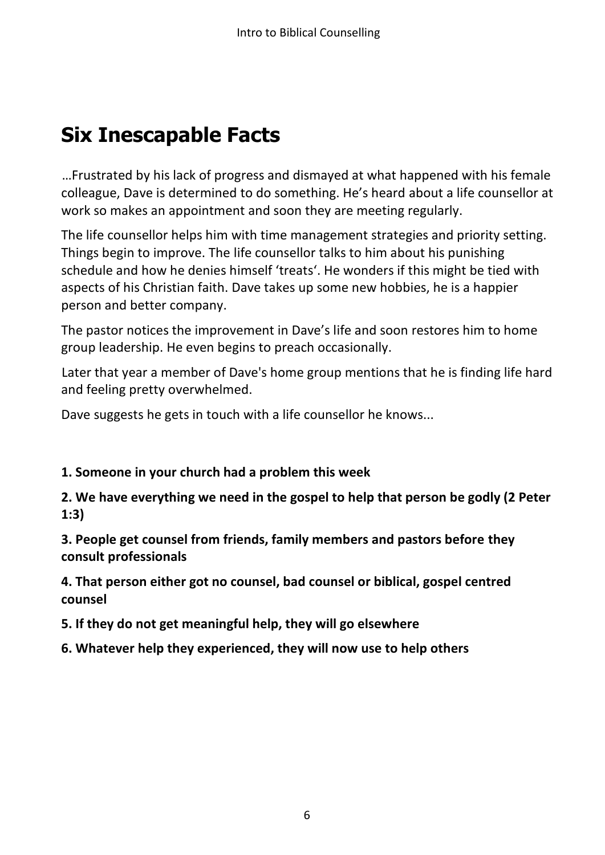## **Six Inescapable Facts**

…Frustrated by his lack of progress and dismayed at what happened with his female colleague, Dave is determined to do something. He's heard about a life counsellor at work so makes an appointment and soon they are meeting regularly.

The life counsellor helps him with time management strategies and priority setting. Things begin to improve. The life counsellor talks to him about his punishing schedule and how he denies himself 'treats'. He wonders if this might be tied with aspects of his Christian faith. Dave takes up some new hobbies, he is a happier person and better company.

The pastor notices the improvement in Dave's life and soon restores him to home group leadership. He even begins to preach occasionally.

Later that year a member of Dave's home group mentions that he is finding life hard and feeling pretty overwhelmed.

Dave suggests he gets in touch with a life counsellor he knows...

#### **1. Someone in your church had a problem this week**

**2. We have everything we need in the gospel to help that person be godly (2 Peter 1:3)**

**3. People get counsel from friends, family members and pastors before they consult professionals**

**4. That person either got no counsel, bad counsel or biblical, gospel centred counsel**

**5. If they do not get meaningful help, they will go elsewhere**

**6. Whatever help they experienced, they will now use to help others**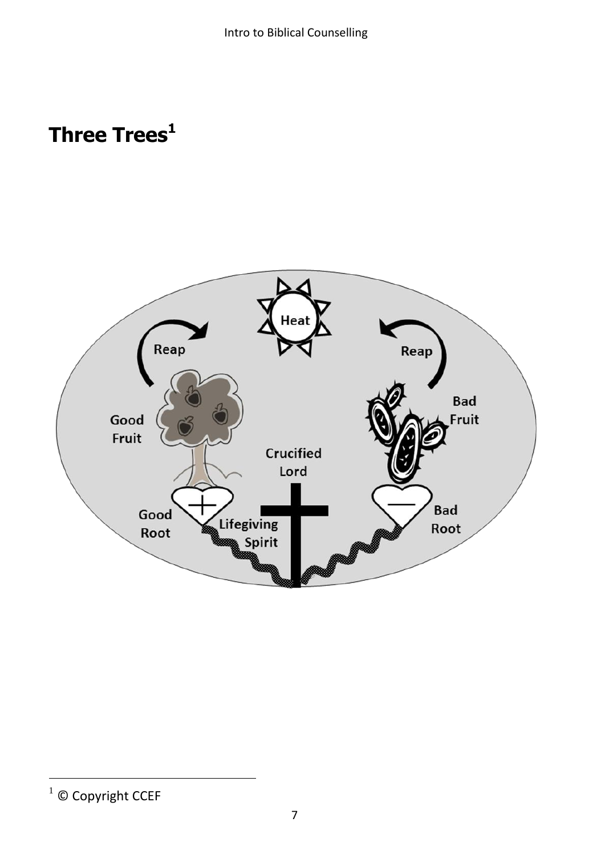## **Three Trees 1**



 $\overline{a}$ 

 $1$  © Copyright CCEF